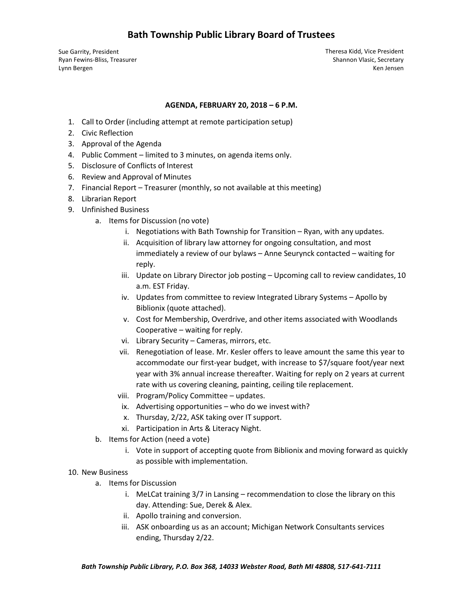# **Bath Township Public Library Board of Trustees**

Ryan Fewins-Bliss, Treasurer Lynn Bergen

Sue Garrity, President Theresa Kidd, Vice President Shannon Vlasic, Secretary Ken Jensen

#### **AGENDA, FEBRUARY 20, 2018 – 6 P.M.**

- 1. Call to Order (including attempt at remote participation setup)
- 2. Civic Reflection
- 3. Approval of the Agenda
- 4. Public Comment limited to 3 minutes, on agenda items only.
- 5. Disclosure of Conflicts of Interest
- 6. Review and Approval of Minutes
- 7. Financial Report Treasurer (monthly, so not available at this meeting)
- 8. Librarian Report
- 9. Unfinished Business
	- a. Items for Discussion (no vote)
		- i. Negotiations with Bath Township for Transition Ryan, with any updates.
		- ii. Acquisition of library law attorney for ongoing consultation, and most immediately a review of our bylaws – Anne Seurynck contacted – waiting for reply.
		- iii. Update on Library Director job posting Upcoming call to review candidates, 10 a.m. EST Friday.
		- iv. Updates from committee to review Integrated Library Systems Apollo by Biblionix (quote attached).
		- v. Cost for Membership, Overdrive, and other items associated with Woodlands Cooperative – waiting for reply.
		- vi. Library Security Cameras, mirrors, etc.
		- vii. Renegotiation of lease. Mr. Kesler offers to leave amount the same this year to accommodate our first-year budget, with increase to \$7/square foot/year next year with 3% annual increase thereafter. Waiting for reply on 2 years at current rate with us covering cleaning, painting, ceiling tile replacement.
		- viii. Program/Policy Committee updates.
		- ix. Advertising opportunities who do we invest with?
		- x. Thursday, 2/22, ASK taking over IT support.
		- xi. Participation in Arts & Literacy Night.
	- b. Items for Action (need a vote)
		- i. Vote in support of accepting quote from Biblionix and moving forward as quickly as possible with implementation.
- 10. New Business
	- a. Items for Discussion
		- i. MeLCat training 3/7 in Lansing recommendation to close the library on this day. Attending: Sue, Derek & Alex.
		- ii. Apollo training and conversion.
		- iii. ASK onboarding us as an account; Michigan Network Consultants services ending, Thursday 2/22.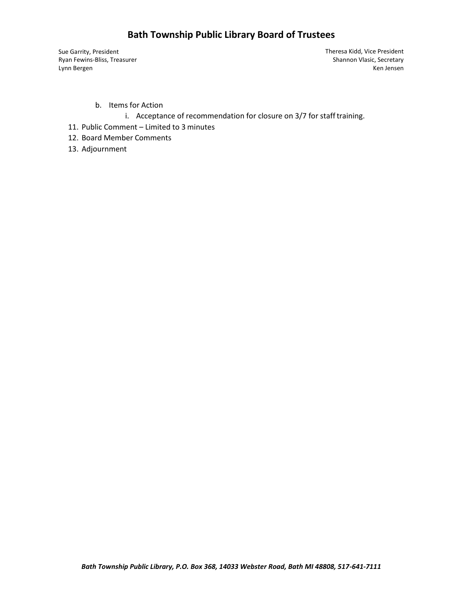Sue Garrity, President Theresa Kidd, Vice President Ryan Fewins-Bliss, Treasurer Lynn Bergen

Shannon Vlasic, Secretary Ken Jensen

- b. Items for Action
	- i. Acceptance of recommendation for closure on 3/7 for staff training.
- 11. Public Comment Limited to 3 minutes
- 12. Board Member Comments
- 13. Adjournment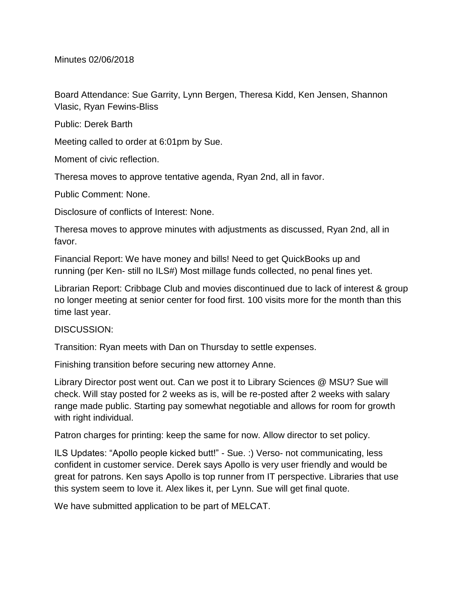Minutes 02/06/2018

Board Attendance: Sue Garrity, Lynn Bergen, Theresa Kidd, Ken Jensen, Shannon Vlasic, Ryan Fewins-Bliss

Public: Derek Barth

Meeting called to order at 6:01pm by Sue.

Moment of civic reflection.

Theresa moves to approve tentative agenda, Ryan 2nd, all in favor.

Public Comment: None.

Disclosure of conflicts of Interest: None.

Theresa moves to approve minutes with adjustments as discussed, Ryan 2nd, all in favor.

Financial Report: We have money and bills! Need to get QuickBooks up and running (per Ken- still no ILS#) Most millage funds collected, no penal fines yet.

Librarian Report: Cribbage Club and movies discontinued due to lack of interest & group no longer meeting at senior center for food first. 100 visits more for the month than this time last year.

### DISCUSSION:

Transition: Ryan meets with Dan on Thursday to settle expenses.

Finishing transition before securing new attorney Anne.

Library Director post went out. Can we post it to Library Sciences @ MSU? Sue will check. Will stay posted for 2 weeks as is, will be re-posted after 2 weeks with salary range made public. Starting pay somewhat negotiable and allows for room for growth with right individual.

Patron charges for printing: keep the same for now. Allow director to set policy.

ILS Updates: "Apollo people kicked butt!" - Sue. :) Verso- not communicating, less confident in customer service. Derek says Apollo is very user friendly and would be great for patrons. Ken says Apollo is top runner from IT perspective. Libraries that use this system seem to love it. Alex likes it, per Lynn. Sue will get final quote.

We have submitted application to be part of MELCAT.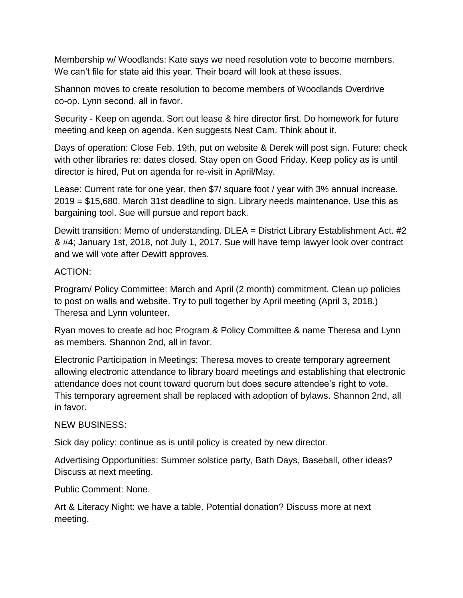Membership w/ Woodlands: Kate says we need resolution vote to become members. We can't file for state aid this year. Their board will look at these issues.

Shannon moves to create resolution to become members of Woodlands Overdrive co-op. Lynn second, all in favor.

Security - Keep on agenda. Sort out lease & hire director first. Do homework for future meeting and keep on agenda. Ken suggests Nest Cam. Think about it.

Days of operation: Close Feb. 19th, put on website & Derek will post sign. Future: check with other libraries re: dates closed. Stay open on Good Friday. Keep policy as is until director is hired, Put on agenda for re-visit in April/May.

Lease: Current rate for one year, then \$7/ square foot / year with 3% annual increase. 2019 = \$15,680. March 31st deadline to sign. Library needs maintenance. Use this as bargaining tool. Sue will pursue and report back.

Dewitt transition: Memo of understanding. DLEA = District Library Establishment Act. #2 & #4; January 1st, 2018, not July 1, 2017. Sue will have temp lawyer look over contract and we will vote after Dewitt approves.

## ACTION:

Program/ Policy Committee: March and April (2 month) commitment. Clean up policies to post on walls and website. Try to pull together by April meeting (April 3, 2018.) Theresa and Lynn volunteer.

Ryan moves to create ad hoc Program & Policy Committee & name Theresa and Lynn as members. Shannon 2nd, all in favor.

Electronic Participation in Meetings: Theresa moves to create temporary agreement allowing electronic attendance to library board meetings and establishing that electronic attendance does not count toward quorum but does secure attendee's right to vote. This temporary agreement shall be replaced with adoption of bylaws. Shannon 2nd, all in favor.

### NEW BUSINESS:

Sick day policy: continue as is until policy is created by new director.

Advertising Opportunities: Summer solstice party, Bath Days, Baseball, other ideas? Discuss at next meeting.

Public Comment: None.

Art & Literacy Night: we have a table. Potential donation? Discuss more at next meeting.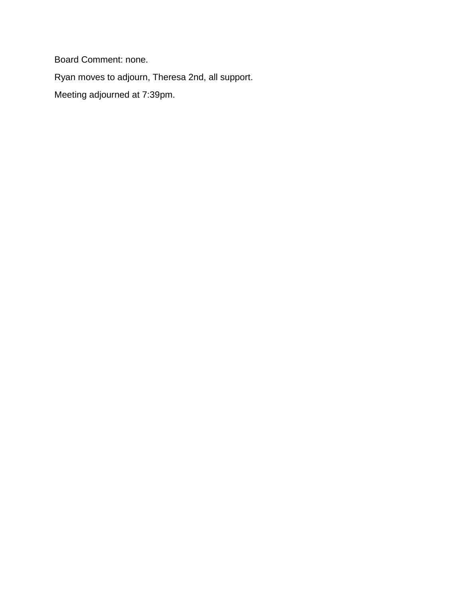Board Comment: none.

Ryan moves to adjourn, Theresa 2nd, all support.

Meeting adjourned at 7:39pm.